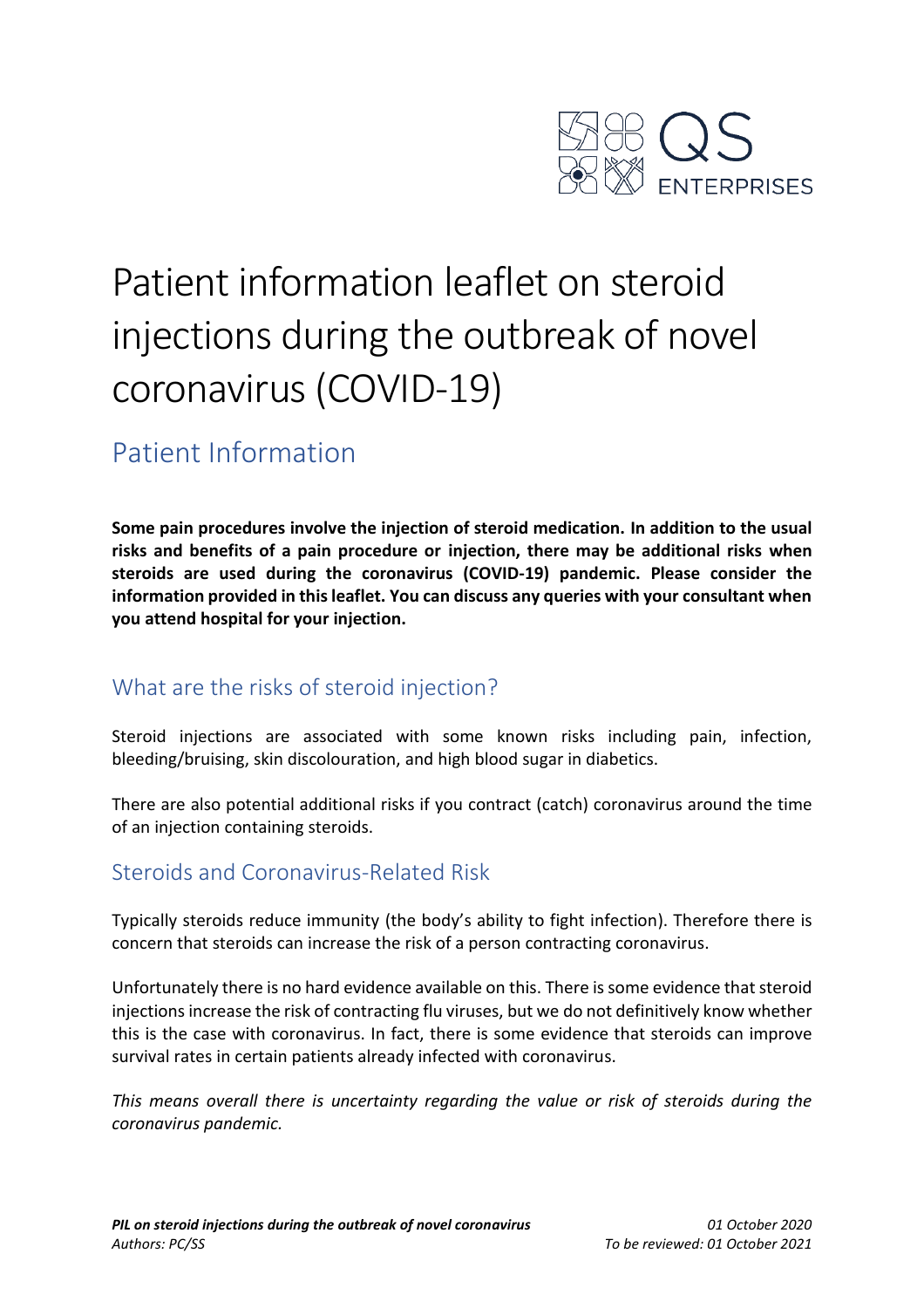

# Patient information leaflet on steroid injections during the outbreak of novel coronavirus (COVID-19)

# Patient Information

**Some pain procedures involve the injection of steroid medication. In addition to the usual risks and benefits of a pain procedure or injection, there may be additional risks when steroids are used during the coronavirus (COVID-19) pandemic. Please consider the information provided in this leaflet. You can discuss any queries with your consultant when you attend hospital for your injection.**

# What are the risks of steroid injection?

Steroid injections are associated with some known risks including pain, infection, bleeding/bruising, skin discolouration, and high blood sugar in diabetics.

There are also potential additional risks if you contract (catch) coronavirus around the time of an injection containing steroids.

## Steroids and Coronavirus-Related Risk

Typically steroids reduce immunity (the body's ability to fight infection). Therefore there is concern that steroids can increase the risk of a person contracting coronavirus.

Unfortunately there is no hard evidence available on this. There is some evidence that steroid injections increase the risk of contracting flu viruses, but we do not definitively know whether this is the case with coronavirus. In fact, there is some evidence that steroids can improve survival rates in certain patients already infected with coronavirus.

*This means overall there is uncertainty regarding the value or risk of steroids during the coronavirus pandemic.*